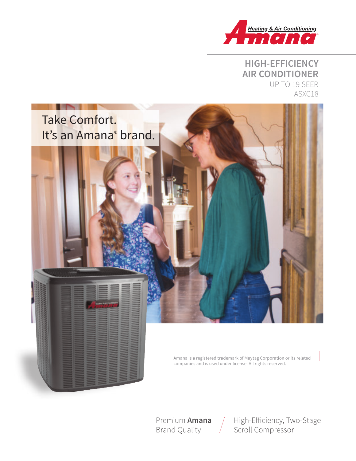

### **HIGH-EFFICIENCY AIR CONDITIONER** UP TO 19 SEER ASXC18



Premium **Amana** Brand Quality

High-Efficiency, Two-Stage Scroll Compressor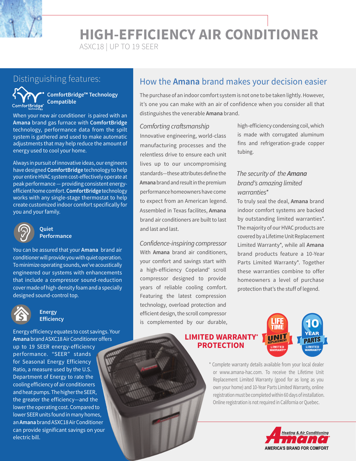**HIGH-EFFICIENCY AIR CONDITIONER**

ASXC18 | UP TO 19 SEER



**ComfortBridge™ Technology Compatible**

When your new air conditioner is paired with an **Amana** brand gas furnace with **ComfortBridge** technology, performance data from the spilt system is gathered and used to make automatic adjustments that may help reduce the amount of energy used to cool your home.

Always in pursuit of innovative ideas, our engineers have designed **ComfortBridge** technology to help your entire HVAC system cost-effectively operate at peak performance — providing consistent energyefficient home comfort.**ComfortBridge**technology works with any single-stage thermostat to help create customized indoor comfort specifically for you and your family.



#### **Quiet Performance**

You can be assured that your **Amana** brand air conditioner will provide you with quiet operation. To minimize operating sounds, we've acoustically engineered our systems with enhancements that include a compressor sound-reduction cover made of high-density foam and a specially designed sound-control top.



#### **Energy Efficiency**

Energy efficiency equates to cost savings. Your **Amana** brand ASXC18 Air Conditioner offers up to 19 SEER energy-efficiency performance. "SEER" stands for Seasonal Energy Efficiency Ratio, a measure used by the U.S. Department of Energy to rate the cooling efficiency of air conditioners and heat pumps. The higher the SEER, the greater the efficiency—and the lower the operating cost. Compared to lower SEER units found in many homes, an**Amana** brand ASXC18 Air Conditioner can provide significant savings on your electric bill.

## Distinguishing features: **How the Amana** brand makes your decision easier

The purchase of an indoor comfort system is not one to be taken lightly. However, it's one you can make with an air of confidence when you consider all that distinguishes the venerable **Amana** brand.

#### Comforting craftsmanship

Innovative engineering, world-class manufacturing processes and the relentless drive to ensure each unit lives up to our uncompromising standards—these attributes define the **Amana** brand and result in the premium performance homeowners have come to expect from an American legend. Assembled in Texas facilites, **Amana** brand air conditioners are built to last and last and last.

Confidence-inspiring compressor With **Amana** brand air conditioners, your comfort and savings start with a high-efficiency Copeland<sup>®</sup> scroll compressor designed to provide years of reliable cooling comfort. Featuring the latest compression technology, overload protection and efficient design, the scroll compressor is complemented by our durable,

high-efficiency condensing coil, which is made with corrugated aluminum fins and refrigeration-grade copper tubing.

### The security of the *Amana* brand's amazing limited warranties\*

To truly seal the deal, **Amana** brand indoor comfort systems are backed by outstanding limited warranties\*. The majority of our HVAC products are covered by a Lifetime Unit Replacement Limited Warranty\*, while all **Amana** brand products feature a 10-Year Parts Limited Warranty\*. Together these warranties combine to offer homeowners a level of purchase protection that's the stuff of legend.

### **LIMITED WARRANTY\* PROTECTION**



\* Complete warranty details available from your local dealer or www.amana-hac.com. To receive the Lifetime Unit Replacement Limited Warranty (good for as long as you own your home) and 10-Year Parts Limited Warranty, online registration must be completed within 60 days of installation. Online registration is not required in California or Quebec.

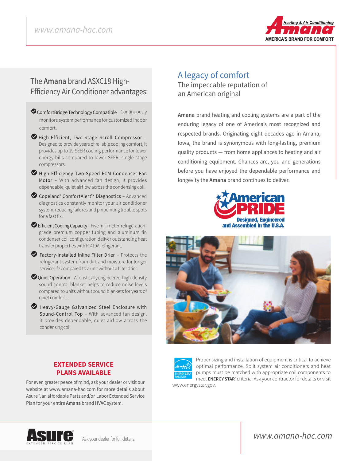

### The **Amana** brand ASXC18 High-Efficiency Air Conditioner advantages:

- ComfortBridge Technology Compatible Continuously monitors system performance for customized indoor comfort.
- LHigh-Efficient, Two-Stage Scroll Compressor Designed to provide years of reliable cooling comfort, it provides up to 19 SEER cooling performance for lower energy bills compared to lower SEER, single-stage compressors.
- High-Efficiency Two-Speed ECM Condenser Fan Motor – With advanced fan design, it provides dependable, quiet airflow across the condensing coil.
- LCopeland® ComfortAlert™ Diagnostics Advanced diagnostics constantly monitor your air conditioner system, reducing failures and pinpointing trouble spots for a fast fix.
- Efficient Cooling Capacity Five millimeter, refrigerationgrade premium copper tubing and aluminum fin condenser coil configuration deliver outstanding heat transfer properties with R-410A refrigerant.
- $\bullet$  Factory-Installed Inline Filter Drier Protects the refrigerant system from dirt and moisture for longer service life compared to a unit without a filter drier.
- $\bullet$  Quiet Operation Acoustically engineered, high-density sound control blanket helps to reduce noise levels compared to units without sound blankets for years of quiet comfort.
- L Heavy-Gauge Galvanized Steel Enclosure with Sound-Control Top – With advanced fan design, it provides dependable, quiet airflow across the condensing coil.

**EXTENDED SERVICE PLANS AVAILABLE** For even greater peace of mind, ask your dealer or visit our website at www.amana-hac.com for more details about Asure℠, an affordable Parts and/or Labor Extended Service

Plan for your entire **Amana** brand HVAC system.

### A legacy of comfort

The impeccable reputation of an American original

**Amana** brand heating and cooling systems are a part of the enduring legacy of one of America's most recognized and respected brands. Originating eight decades ago in Amana, Iowa, the brand is synonymous with long-lasting, premium quality products — from home appliances to heating and air conditioning equipment. Chances are, you and generations before you have enjoyed the dependable performance and longevity the **Amana** brand continues to deliver.







Proper sizing and installation of equipment is critical to achieve optimal performance. Split system air conditioners and heat pumps must be matched with appropriate coil components to meet **ENERGY STAR**® criteria. Ask your contractor for details or visit

www.energystar.gov.



### www.amana-hac.com